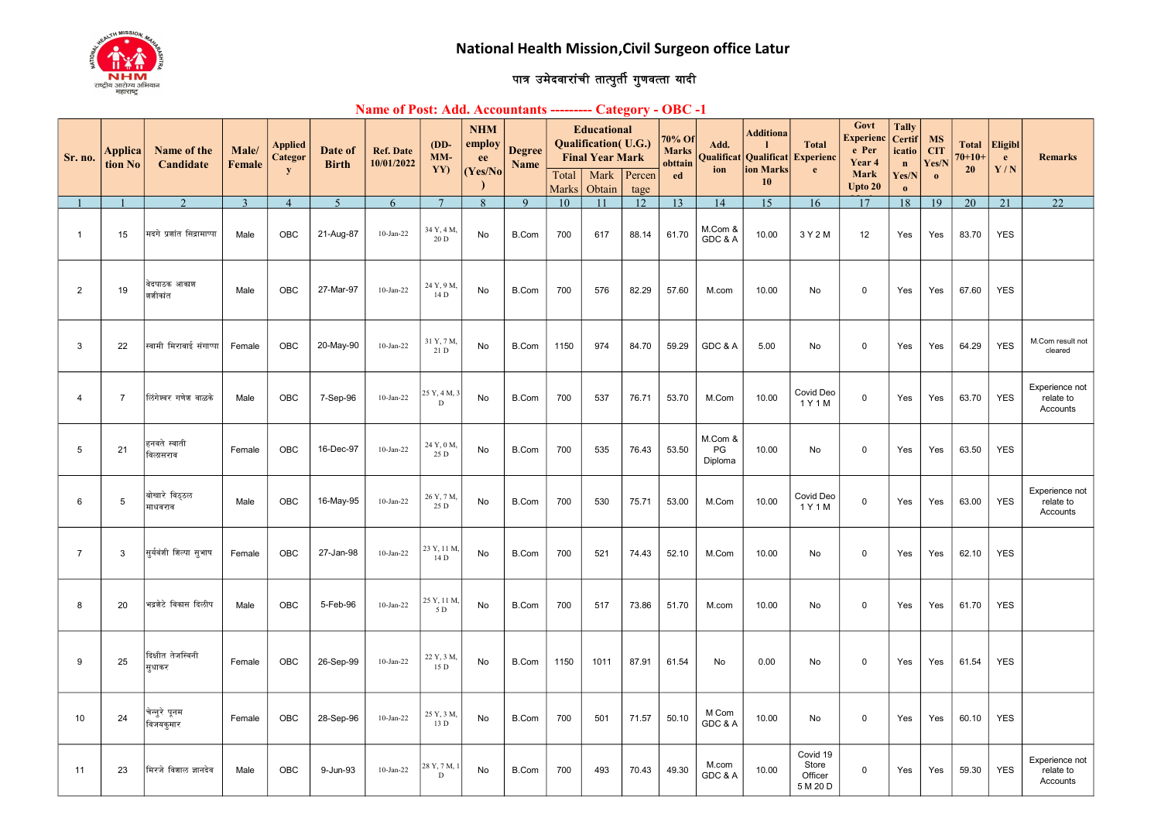

## पात्र उमेदवारांची तात्पुर्ती गुणवत्ता यादी

## Name of Post: Add. Accountants --------- Category - OBC -1

| Sr. no.         | <b>Applica</b><br>tion No | Name of the<br>Candidate    | Male/<br>Female | <b>Applied</b><br>Categor | Date of<br><b>Birth</b> | <b>Ref. Date</b><br>10/01/2022 | $(DD -$<br>MM-      | <b>NHM</b><br>employ<br>ee | <b>Degree</b><br>Name |                       | <b>Educational</b><br><b>Qualification</b> (U.G.)<br><b>Final Year Mark</b> |            | 70% Of<br><b>Marks</b><br>obttain | Add.<br>Qualifica        | <b>Additiona</b><br>Qualificat | <b>Total</b><br><b>Experienc</b>         | Govt<br><b>Experienc</b><br>e Per<br>Year 4 | <b>Tally</b><br><b>Certif</b><br>icatio<br>$\mathbf{n}$ | <b>MS</b><br><b>CIT</b><br>Yes/N | <b>Total</b><br>$70 + 10 +$ | <b>Eligibl</b><br>e. | <b>Remarks</b>                          |
|-----------------|---------------------------|-----------------------------|-----------------|---------------------------|-------------------------|--------------------------------|---------------------|----------------------------|-----------------------|-----------------------|-----------------------------------------------------------------------------|------------|-----------------------------------|--------------------------|--------------------------------|------------------------------------------|---------------------------------------------|---------------------------------------------------------|----------------------------------|-----------------------------|----------------------|-----------------------------------------|
|                 |                           |                             |                 | ${\bf y}$                 |                         |                                | YY)                 | (Yes/No)                   |                       | Total<br><b>Marks</b> | Mark<br>Obtain                                                              | Percen     | ed                                | ion                      | ion Marks<br>10                | $\mathbf{e}$                             | <b>Mark</b><br>Upto 20                      | Yes/N<br>$\mathbf{0}$                                   | $\mathbf{o}$                     | 20                          | Y/N                  |                                         |
|                 |                           | $\gamma$                    | $\mathbf{3}$    | $\overline{4}$            | $\overline{5}$          | 6                              | $\overline{7}$      | $\overline{R}$             | $\mathbf{Q}$          | 10                    | 11                                                                          | tage<br>12 | 13                                | 14                       | 15                             | 16                                       | 17                                          | 18                                                      | 19                               | 20                          | 21                   | 22                                      |
| $\overline{1}$  | 15                        | मदगे प्रशांत सिद्रामाप्पा   | Male            | OBC                       | 21-Aug-87               | $10$ -Jan-22                   | 34 Y, 4 M,<br>20 D  | No                         | B.Com                 | 700                   | 617                                                                         | 88.14      | 61.70                             | M.Com &<br>GDC & A       | 10.00                          | 3 Y 2 M                                  | 12                                          | Yes                                                     | Yes                              | 83.70                       | <b>YES</b>           |                                         |
| $\overline{2}$  | 19                        | वेदपाठक आकाश<br>शशीकांत     | Male            | OBC                       | 27-Mar-97               | $10 - Jan-22$                  | 24 Y, 9 M,<br>14 D  | No                         | <b>B.Com</b>          | 700                   | 576                                                                         | 82.29      | 57.60                             | M.com                    | 10.00                          | No                                       | 0                                           | Yes                                                     | Yes                              | 67.60                       | <b>YES</b>           |                                         |
| 3               | 22                        | स्वामी मिराबाई संगाप्पा     | Female          | OBC                       | 20-May-90               | $10$ -Jan-22                   | 31 Y, 7 M,<br>21 D  | No                         | <b>B.Com</b>          | 1150                  | 974                                                                         | 84.70      | 59.29                             | GDC & A                  | 5.00                           | No                                       | 0                                           | Yes                                                     | Yes                              | 64.29                       | <b>YES</b>           | M.Com result not<br>cleared             |
| $\overline{4}$  | $\overline{7}$            | लिंगेश्वर गणेश वाळके        | Male            | <b>OBC</b>                | 7-Sep-96                | $10$ -Jan-22                   | 25 Y, 4 M, 3<br>D   | No                         | B.Com                 | 700                   | 537                                                                         | 76.71      | 53.70                             | M.Com                    | 10.00                          | Covid Deo<br>1 Y 1 M                     | 0                                           | Yes                                                     | Yes                              | 63.70                       | <b>YES</b>           | Experience not<br>relate to<br>Accounts |
| $5\phantom{.0}$ | 21                        | हनवते स्वाती<br>विलासराव    | Female          | OBC                       | 16-Dec-97               | $10$ -Jan-22                   | 24 Y, 0 M,<br>25 D  | No                         | B.Com                 | 700                   | 535                                                                         | 76.43      | 53.50                             | M.Com &<br>PG<br>Diploma | 10.00                          | No                                       | $\mathbf 0$                                 | Yes                                                     | Yes                              | 63.50                       | <b>YES</b>           |                                         |
| 6               | 5                         | बोखारे विठ्ठल<br>माधवराव    | Male            | <b>OBC</b>                | 16-May-95               | $10$ -Jan-22                   | 26 Y, 7 M,<br>25 D  | No                         | <b>B.Com</b>          | 700                   | 530                                                                         | 75.71      | 53.00                             | M.Com                    | 10.00                          | Covid Deo<br>1 Y 1 M                     | 0                                           | Yes                                                     | Yes                              | 63.00                       | <b>YES</b>           | Experience not<br>relate to<br>Accounts |
| $\overline{7}$  | 3                         | सूर्यवंशी शिल्पा सूभाष      | Female          | <b>OBC</b>                | 27-Jan-98               | $10$ -Jan-22                   | 23 Y, 11 M,<br>14 D | No                         | B.Com                 | 700                   | 521                                                                         | 74.43      | 52.10                             | M.Com                    | 10.00                          | No                                       | 0                                           | Yes                                                     | Yes                              | 62.10                       | <b>YES</b>           |                                         |
| 8               | 20                        | भद्रशेटे विकास दिलीप        | Male            | OBC                       | 5-Feb-96                | $10$ -Jan-22                   | 25 Y, 11 M<br>5 D   | No                         | B.Com                 | 700                   | 517                                                                         | 73.86      | 51.70                             | M.com                    | 10.00                          | No                                       | 0                                           | Yes                                                     | Yes                              | 61.70                       | <b>YES</b>           |                                         |
| 9               | 25                        | दिक्षीत तेजस्विनी<br>सुधाकर | Female          | OBC                       | 26-Sep-99               | 10-Jan-22                      | 22 Y, 3 M,<br>15 D  | No                         | B.Com                 | 1150                  | 1011                                                                        | 87.91      | 61.54                             | No                       | 0.00                           | No                                       | $\mathbf 0$                                 | Yes                                                     | Yes                              | 61.54                       | <b>YES</b>           |                                         |
| 10              | 24                        | चेन्नुरे पूनम<br>विजयकुमार  | Female          | OBC                       | 28-Sep-96               | $10$ -Jan-22                   | 25 Y, 3 M,<br>13 D  | No                         | B.Com                 | 700                   | 501                                                                         | 71.57      | 50.10                             | M Com<br>GDC & A         | 10.00                          | No                                       | $\mathbf 0$                                 | Yes                                                     | Yes                              | 60.10                       | <b>YES</b>           |                                         |
| 11              | 23                        | मिरजे विशाल ज्ञानदेव        | Male            | OBC                       | 9-Jun-93                | $10-Jan-22$                    | 28 Y, 7 M,<br>D     | No                         | B.Com                 | 700                   | 493                                                                         | 70.43      | 49.30                             | M.com<br>GDC & A         | 10.00                          | Covid 19<br>Store<br>Officer<br>5 M 20 D | $\pmb{0}$                                   | Yes                                                     | Yes                              | 59.30                       | <b>YES</b>           | Experience not<br>relate to<br>Accounts |